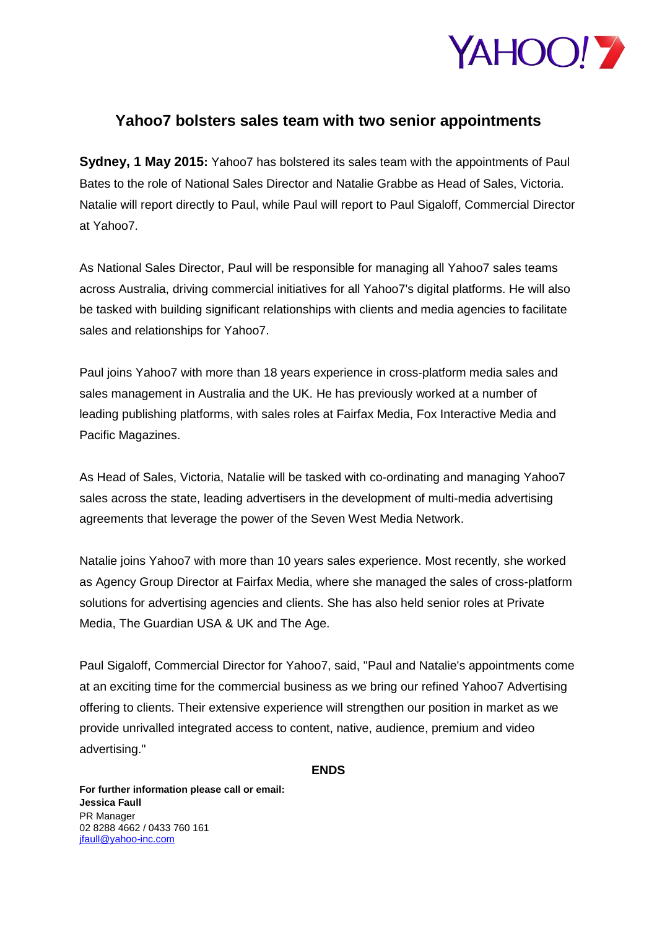

## **Yahoo7 bolsters sales team with two senior appointments**

**Sydney, 1 May 2015:** Yahoo7 has bolstered its sales team with the appointments of Paul Bates to the role of National Sales Director and Natalie Grabbe as Head of Sales, Victoria. Natalie will report directly to Paul, while Paul will report to Paul Sigaloff, Commercial Director at Yahoo7.

As National Sales Director, Paul will be responsible for managing all Yahoo7 sales teams across Australia, driving commercial initiatives for all Yahoo7's digital platforms. He will also be tasked with building significant relationships with clients and media agencies to facilitate sales and relationships for Yahoo7.

Paul joins Yahoo7 with more than 18 years experience in cross-platform media sales and sales management in Australia and the UK. He has previously worked at a number of leading publishing platforms, with sales roles at Fairfax Media, Fox Interactive Media and Pacific Magazines.

As Head of Sales, Victoria, Natalie will be tasked with co-ordinating and managing Yahoo7 sales across the state, leading advertisers in the development of multi-media advertising agreements that leverage the power of the Seven West Media Network.

Natalie joins Yahoo7 with more than 10 years sales experience. Most recently, she worked as Agency Group Director at Fairfax Media, where she managed the sales of cross-platform solutions for advertising agencies and clients. She has also held senior roles at Private Media, The Guardian USA & UK and The Age.

Paul Sigaloff, Commercial Director for Yahoo7, said, "Paul and Natalie's appointments come at an exciting time for the commercial business as we bring our refined Yahoo7 Advertising offering to clients. Their extensive experience will strengthen our position in market as we provide unrivalled integrated access to content, native, audience, premium and video advertising."

**ENDS** 

**For further information please call or email: Jessica Faull** PR Manager 02 8288 4662 / 0433 760 161 [jfaull@yahoo-inc.com](mailto:jfaull@yahoo-inc.com)